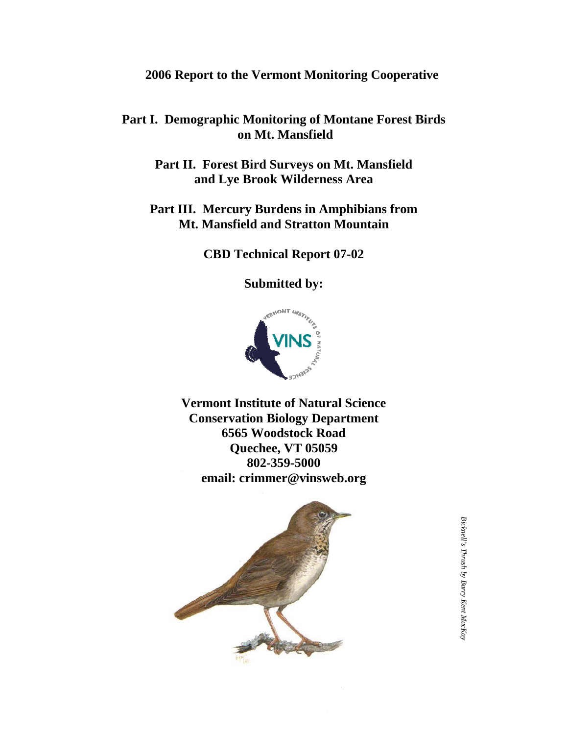# **2006 Report to the Vermont Monitoring Cooperative**

# **Part I. Demographic Monitoring of Montane Forest Birds on Mt. Mansfield**

**Part II. Forest Bird Surveys on Mt. Mansfield and Lye Brook Wilderness Area** 

**Part III. Mercury Burdens in Amphibians from Mt. Mansfield and Stratton Mountain** 

**CBD Technical Report 07-02** 

**Submitted by:** 



**Vermont Institute of Natural Science Conservation Biology Department 6565 Woodstock Road Quechee, VT 05059 802-359-5000 email: crimmer@vinsweb.org** 

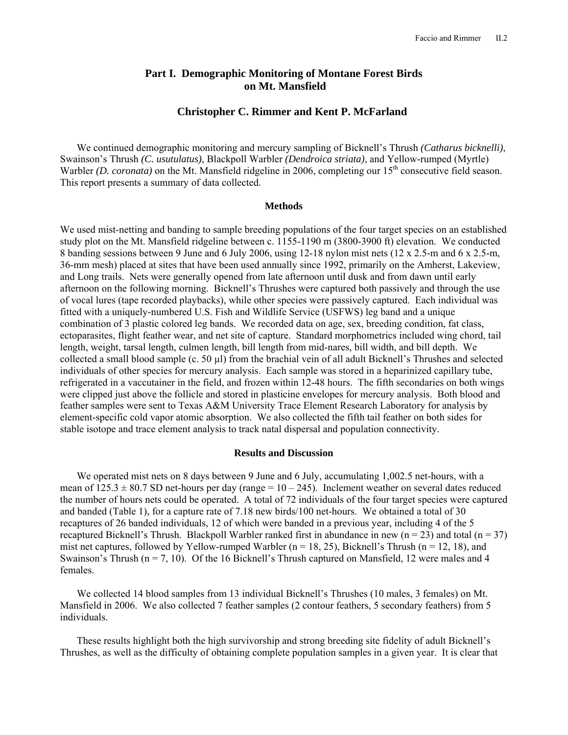# **Part I. Demographic Monitoring of Montane Forest Birds on Mt. Mansfield**

# **Christopher C. Rimmer and Kent P. McFarland**

We continued demographic monitoring and mercury sampling of Bicknell's Thrush *(Catharus bicknelli)*, Swainson's Thrush *(C. usutulatus)*, Blackpoll Warbler *(Dendroica striata)*, and Yellow-rumped (Myrtle) Warbler *(D. coronata)* on the Mt. Mansfield ridgeline in 2006, completing our 15<sup>th</sup> consecutive field season. This report presents a summary of data collected.

#### **Methods**

We used mist-netting and banding to sample breeding populations of the four target species on an established study plot on the Mt. Mansfield ridgeline between c. 1155-1190 m (3800-3900 ft) elevation. We conducted 8 banding sessions between 9 June and 6 July 2006, using 12-18 nylon mist nets (12 x 2.5-m and 6 x 2.5-m, 36-mm mesh) placed at sites that have been used annually since 1992, primarily on the Amherst, Lakeview, and Long trails. Nets were generally opened from late afternoon until dusk and from dawn until early afternoon on the following morning. Bicknell's Thrushes were captured both passively and through the use of vocal lures (tape recorded playbacks), while other species were passively captured. Each individual was fitted with a uniquely-numbered U.S. Fish and Wildlife Service (USFWS) leg band and a unique combination of 3 plastic colored leg bands. We recorded data on age, sex, breeding condition, fat class, ectoparasites, flight feather wear, and net site of capture. Standard morphometrics included wing chord, tail length, weight, tarsal length, culmen length, bill length from mid-nares, bill width, and bill depth. We collected a small blood sample (c. 50 µl) from the brachial vein of all adult Bicknell's Thrushes and selected individuals of other species for mercury analysis. Each sample was stored in a heparinized capillary tube, refrigerated in a vaccutainer in the field, and frozen within 12-48 hours. The fifth secondaries on both wings were clipped just above the follicle and stored in plasticine envelopes for mercury analysis. Both blood and feather samples were sent to Texas A&M University Trace Element Research Laboratory for analysis by element-specific cold vapor atomic absorption. We also collected the fifth tail feather on both sides for stable isotope and trace element analysis to track natal dispersal and population connectivity.

#### **Results and Discussion**

We operated mist nets on 8 days between 9 June and 6 July, accumulating 1,002.5 net-hours, with a mean of  $125.3 \pm 80.7$  SD net-hours per day (range =  $10 - 245$ ). Inclement weather on several dates reduced the number of hours nets could be operated. A total of 72 individuals of the four target species were captured and banded (Table 1), for a capture rate of 7.18 new birds/100 net-hours. We obtained a total of 30 recaptures of 26 banded individuals, 12 of which were banded in a previous year, including 4 of the 5 recaptured Bicknell's Thrush. Blackpoll Warbler ranked first in abundance in new  $(n = 23)$  and total  $(n = 37)$ mist net captures, followed by Yellow-rumped Warbler ( $n = 18, 25$ ), Bicknell's Thrush ( $n = 12, 18$ ), and Swainson's Thrush ( $n = 7, 10$ ). Of the 16 Bicknell's Thrush captured on Mansfield, 12 were males and 4 females.

We collected 14 blood samples from 13 individual Bicknell's Thrushes (10 males, 3 females) on Mt. Mansfield in 2006. We also collected 7 feather samples (2 contour feathers, 5 secondary feathers) from 5 individuals.

These results highlight both the high survivorship and strong breeding site fidelity of adult Bicknell's Thrushes, as well as the difficulty of obtaining complete population samples in a given year. It is clear that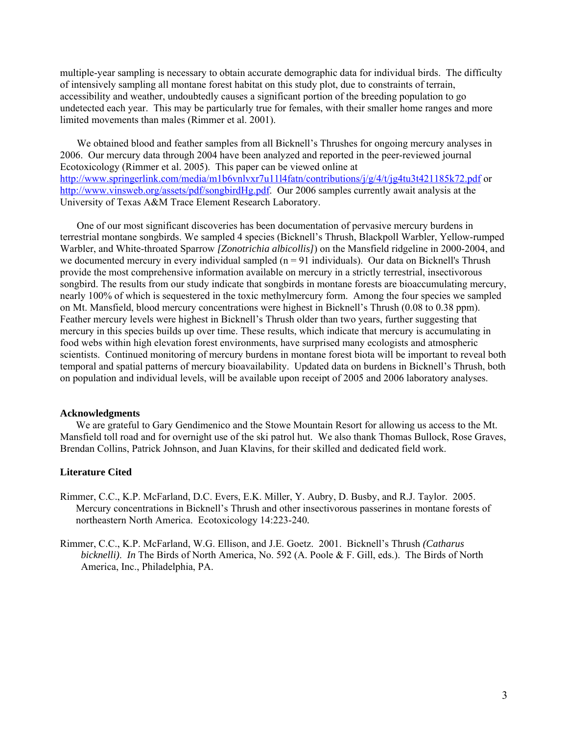multiple-year sampling is necessary to obtain accurate demographic data for individual birds. The difficulty of intensively sampling all montane forest habitat on this study plot, due to constraints of terrain, accessibility and weather, undoubtedly causes a significant portion of the breeding population to go undetected each year. This may be particularly true for females, with their smaller home ranges and more limited movements than males (Rimmer et al. 2001).

We obtained blood and feather samples from all Bicknell's Thrushes for ongoing mercury analyses in 2006. Our mercury data through 2004 have been analyzed and reported in the peer-reviewed journal Ecotoxicology (Rimmer et al. 2005). This paper can be viewed online at http://www.springerlink.com/media/m1b6vnlvxr7u11l4fatn/contributions/j/g/4/t/jg4tu3t421185k72.pdf or http://www.vinsweb.org/assets/pdf/songbirdHg.pdf. Our 2006 samples currently await analysis at the University of Texas A&M Trace Element Research Laboratory.

One of our most significant discoveries has been documentation of pervasive mercury burdens in terrestrial montane songbirds. We sampled 4 species (Bicknell's Thrush, Blackpoll Warbler, Yellow-rumped Warbler, and White-throated Sparrow *[Zonotrichia albicollis]*) on the Mansfield ridgeline in 2000-2004, and we documented mercury in every individual sampled  $(n = 91$  individuals). Our data on Bicknell's Thrush provide the most comprehensive information available on mercury in a strictly terrestrial, insectivorous songbird. The results from our study indicate that songbirds in montane forests are bioaccumulating mercury, nearly 100% of which is sequestered in the toxic methylmercury form. Among the four species we sampled on Mt. Mansfield, blood mercury concentrations were highest in Bicknell's Thrush (0.08 to 0.38 ppm). Feather mercury levels were highest in Bicknell's Thrush older than two years, further suggesting that mercury in this species builds up over time. These results, which indicate that mercury is accumulating in food webs within high elevation forest environments, have surprised many ecologists and atmospheric scientists. Continued monitoring of mercury burdens in montane forest biota will be important to reveal both temporal and spatial patterns of mercury bioavailability. Updated data on burdens in Bicknell's Thrush, both on population and individual levels, will be available upon receipt of 2005 and 2006 laboratory analyses.

## **Acknowledgments**

We are grateful to Gary Gendimenico and the Stowe Mountain Resort for allowing us access to the Mt. Mansfield toll road and for overnight use of the ski patrol hut. We also thank Thomas Bullock, Rose Graves, Brendan Collins, Patrick Johnson, and Juan Klavins, for their skilled and dedicated field work.

# **Literature Cited**

- Rimmer, C.C., K.P. McFarland, D.C. Evers, E.K. Miller, Y. Aubry, D. Busby, and R.J. Taylor. 2005. Mercury concentrations in Bicknell's Thrush and other insectivorous passerines in montane forests of northeastern North America. Ecotoxicology 14:223-240*.*
- Rimmer, C.C., K.P. McFarland, W.G. Ellison, and J.E. Goetz. 2001. Bicknell's Thrush *(Catharus bicknelli)*. *In* The Birds of North America, No. 592 (A. Poole & F. Gill, eds.). The Birds of North America, Inc., Philadelphia, PA.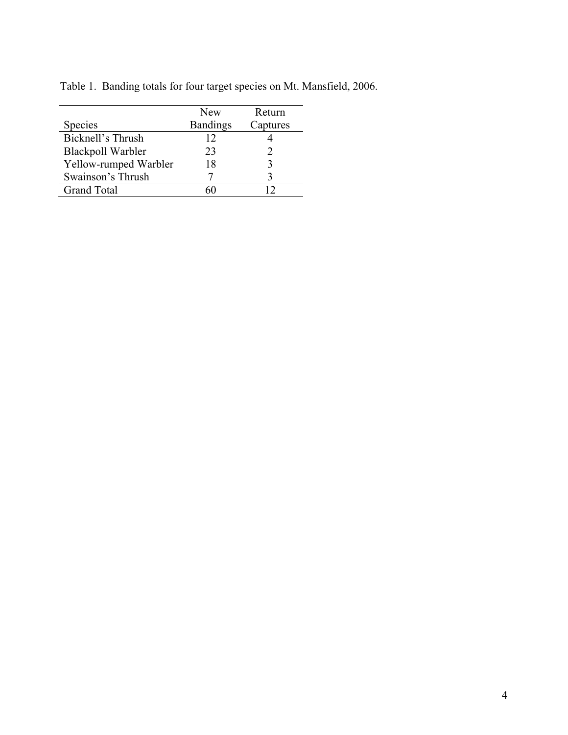|                          | New             | Return   |
|--------------------------|-----------------|----------|
| Species                  | <b>Bandings</b> | Captures |
| Bicknell's Thrush        | 12              |          |
| <b>Blackpoll Warbler</b> | 23              |          |
| Yellow-rumped Warbler    | 18              |          |
| Swainson's Thrush        |                 |          |
| <b>Grand Total</b>       |                 |          |
|                          |                 |          |

Table 1. Banding totals for four target species on Mt. Mansfield, 2006.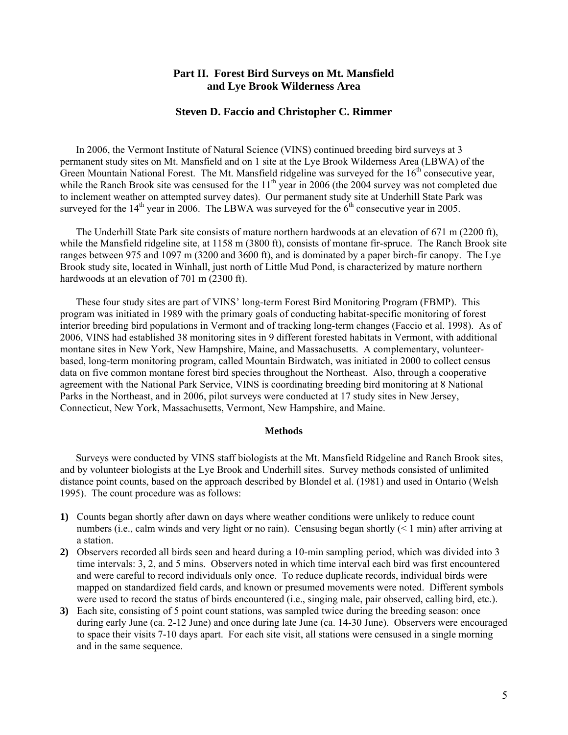# **Part II. Forest Bird Surveys on Mt. Mansfield and Lye Brook Wilderness Area**

# **Steven D. Faccio and Christopher C. Rimmer**

In 2006, the Vermont Institute of Natural Science (VINS) continued breeding bird surveys at 3 permanent study sites on Mt. Mansfield and on 1 site at the Lye Brook Wilderness Area (LBWA) of the Green Mountain National Forest. The Mt. Mansfield ridgeline was surveyed for the  $16<sup>th</sup>$  consecutive year, while the Ranch Brook site was censused for the  $11<sup>th</sup>$  year in 2006 (the 2004 survey was not completed due to inclement weather on attempted survey dates). Our permanent study site at Underhill State Park was surveyed for the  $14<sup>th</sup>$  year in 2006. The LBWA was surveyed for the  $6<sup>th</sup>$  consecutive year in 2005.

The Underhill State Park site consists of mature northern hardwoods at an elevation of 671 m (2200 ft), while the Mansfield ridgeline site, at 1158 m (3800 ft), consists of montane fir-spruce. The Ranch Brook site ranges between 975 and 1097 m (3200 and 3600 ft), and is dominated by a paper birch-fir canopy. The Lye Brook study site, located in Winhall, just north of Little Mud Pond, is characterized by mature northern hardwoods at an elevation of 701 m (2300 ft).

These four study sites are part of VINS' long-term Forest Bird Monitoring Program (FBMP). This program was initiated in 1989 with the primary goals of conducting habitat-specific monitoring of forest interior breeding bird populations in Vermont and of tracking long-term changes (Faccio et al. 1998). As of 2006, VINS had established 38 monitoring sites in 9 different forested habitats in Vermont, with additional montane sites in New York, New Hampshire, Maine, and Massachusetts. A complementary, volunteerbased, long-term monitoring program, called Mountain Birdwatch, was initiated in 2000 to collect census data on five common montane forest bird species throughout the Northeast. Also, through a cooperative agreement with the National Park Service, VINS is coordinating breeding bird monitoring at 8 National Parks in the Northeast, and in 2006, pilot surveys were conducted at 17 study sites in New Jersey, Connecticut, New York, Massachusetts, Vermont, New Hampshire, and Maine.

#### **Methods**

Surveys were conducted by VINS staff biologists at the Mt. Mansfield Ridgeline and Ranch Brook sites, and by volunteer biologists at the Lye Brook and Underhill sites. Survey methods consisted of unlimited distance point counts, based on the approach described by Blondel et al. (1981) and used in Ontario (Welsh 1995). The count procedure was as follows:

- **1)** Counts began shortly after dawn on days where weather conditions were unlikely to reduce count numbers (i.e., calm winds and very light or no rain). Censusing began shortly (< 1 min) after arriving at a station.
- **2)** Observers recorded all birds seen and heard during a 10-min sampling period, which was divided into 3 time intervals: 3, 2, and 5 mins. Observers noted in which time interval each bird was first encountered and were careful to record individuals only once. To reduce duplicate records, individual birds were mapped on standardized field cards, and known or presumed movements were noted. Different symbols were used to record the status of birds encountered (i.e., singing male, pair observed, calling bird, etc.).
- **3)** Each site, consisting of 5 point count stations, was sampled twice during the breeding season: once during early June (ca. 2-12 June) and once during late June (ca. 14-30 June). Observers were encouraged to space their visits 7-10 days apart. For each site visit, all stations were censused in a single morning and in the same sequence.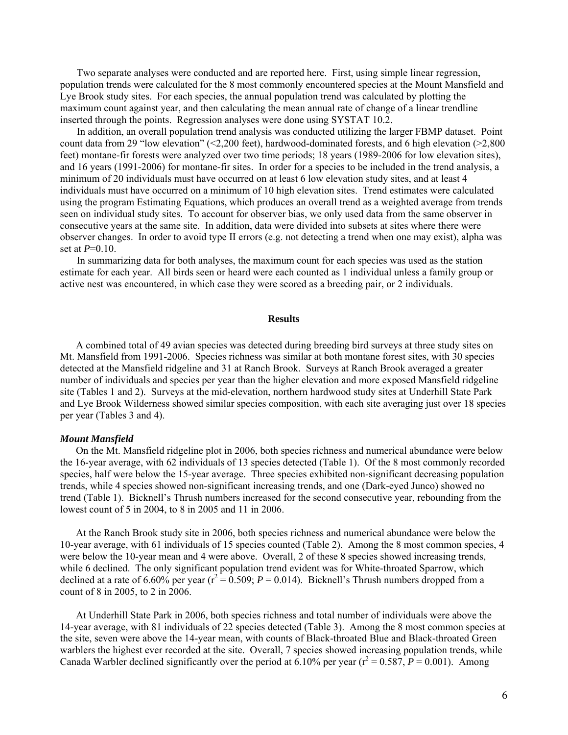Two separate analyses were conducted and are reported here. First, using simple linear regression, population trends were calculated for the 8 most commonly encountered species at the Mount Mansfield and Lye Brook study sites. For each species, the annual population trend was calculated by plotting the maximum count against year, and then calculating the mean annual rate of change of a linear trendline inserted through the points. Regression analyses were done using SYSTAT 10.2.

In addition, an overall population trend analysis was conducted utilizing the larger FBMP dataset. Point count data from 29 "low elevation" (<2,200 feet), hardwood-dominated forests, and 6 high elevation (>2,800 feet) montane-fir forests were analyzed over two time periods; 18 years (1989-2006 for low elevation sites), and 16 years (1991-2006) for montane-fir sites. In order for a species to be included in the trend analysis, a minimum of 20 individuals must have occurred on at least 6 low elevation study sites, and at least 4 individuals must have occurred on a minimum of 10 high elevation sites. Trend estimates were calculated using the program Estimating Equations, which produces an overall trend as a weighted average from trends seen on individual study sites. To account for observer bias, we only used data from the same observer in consecutive years at the same site. In addition, data were divided into subsets at sites where there were observer changes. In order to avoid type II errors (e.g. not detecting a trend when one may exist), alpha was set at *P*=0.10.

In summarizing data for both analyses, the maximum count for each species was used as the station estimate for each year. All birds seen or heard were each counted as 1 individual unless a family group or active nest was encountered, in which case they were scored as a breeding pair, or 2 individuals.

## **Results**

A combined total of 49 avian species was detected during breeding bird surveys at three study sites on Mt. Mansfield from 1991-2006. Species richness was similar at both montane forest sites, with 30 species detected at the Mansfield ridgeline and 31 at Ranch Brook. Surveys at Ranch Brook averaged a greater number of individuals and species per year than the higher elevation and more exposed Mansfield ridgeline site (Tables 1 and 2). Surveys at the mid-elevation, northern hardwood study sites at Underhill State Park and Lye Brook Wilderness showed similar species composition, with each site averaging just over 18 species per year (Tables 3 and 4).

## *Mount Mansfield*

On the Mt. Mansfield ridgeline plot in 2006, both species richness and numerical abundance were below the 16-year average, with 62 individuals of 13 species detected (Table 1). Of the 8 most commonly recorded species, half were below the 15-year average. Three species exhibited non-significant decreasing population trends, while 4 species showed non-significant increasing trends, and one (Dark-eyed Junco) showed no trend (Table 1). Bicknell's Thrush numbers increased for the second consecutive year, rebounding from the lowest count of 5 in 2004, to 8 in 2005 and 11 in 2006.

At the Ranch Brook study site in 2006, both species richness and numerical abundance were below the 10-year average, with 61 individuals of 15 species counted (Table 2). Among the 8 most common species, 4 were below the 10-year mean and 4 were above. Overall, 2 of these 8 species showed increasing trends, while 6 declined. The only significant population trend evident was for White-throated Sparrow, which declined at a rate of 6.60% per year  $(r^2 = 0.509; P = 0.014)$ . Bicknell's Thrush numbers dropped from a count of 8 in 2005, to 2 in 2006.

At Underhill State Park in 2006, both species richness and total number of individuals were above the 14-year average, with 81 individuals of 22 species detected (Table 3). Among the 8 most common species at the site, seven were above the 14-year mean, with counts of Black-throated Blue and Black-throated Green warblers the highest ever recorded at the site. Overall, 7 species showed increasing population trends, while Canada Warbler declined significantly over the period at 6.10% per year ( $r^2 = 0.587$ ,  $P = 0.001$ ). Among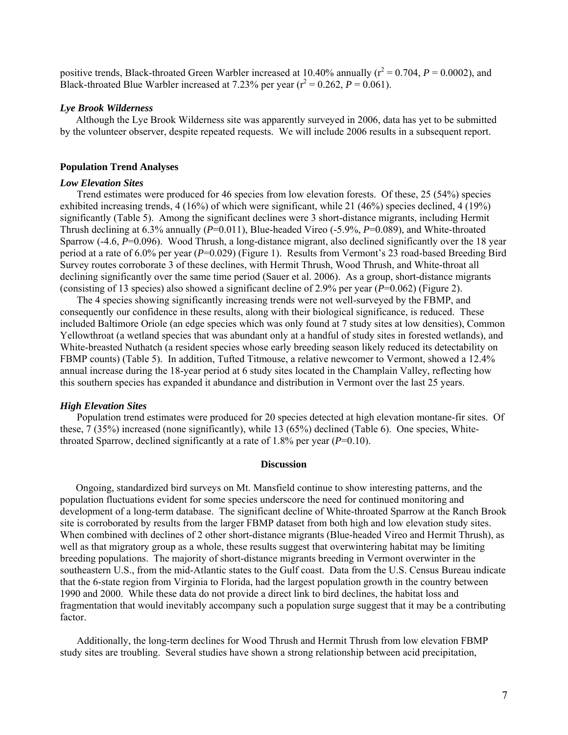positive trends, Black-throated Green Warbler increased at 10.40% annually  $(r^2 = 0.704, P = 0.0002)$ , and Black-throated Blue Warbler increased at 7.23% per year  $(r^2 = 0.262, P = 0.061)$ .

## *Lye Brook Wilderness*

Although the Lye Brook Wilderness site was apparently surveyed in 2006, data has yet to be submitted by the volunteer observer, despite repeated requests. We will include 2006 results in a subsequent report.

#### **Population Trend Analyses**

#### *Low Elevation Sites*

Trend estimates were produced for 46 species from low elevation forests. Of these, 25 (54%) species exhibited increasing trends, 4 (16%) of which were significant, while 21 (46%) species declined, 4 (19%) significantly (Table 5). Among the significant declines were 3 short-distance migrants, including Hermit Thrush declining at 6.3% annually (*P*=0.011), Blue-headed Vireo (-5.9%, *P*=0.089), and White-throated Sparrow (-4.6, P=0.096). Wood Thrush, a long-distance migrant, also declined significantly over the 18 year period at a rate of 6.0% per year (*P*=0.029) (Figure 1). Results from Vermont's 23 road-based Breeding Bird Survey routes corroborate 3 of these declines, with Hermit Thrush, Wood Thrush, and White-throat all declining significantly over the same time period (Sauer et al. 2006). As a group, short-distance migrants (consisting of 13 species) also showed a significant decline of 2.9% per year (*P*=0.062) (Figure 2).

The 4 species showing significantly increasing trends were not well-surveyed by the FBMP, and consequently our confidence in these results, along with their biological significance, is reduced. These included Baltimore Oriole (an edge species which was only found at 7 study sites at low densities), Common Yellowthroat (a wetland species that was abundant only at a handful of study sites in forested wetlands), and White-breasted Nuthatch (a resident species whose early breeding season likely reduced its detectability on FBMP counts) (Table 5). In addition, Tufted Titmouse, a relative newcomer to Vermont, showed a 12.4% annual increase during the 18-year period at 6 study sites located in the Champlain Valley, reflecting how this southern species has expanded it abundance and distribution in Vermont over the last 25 years.

## *High Elevation Sites*

Population trend estimates were produced for 20 species detected at high elevation montane-fir sites. Of these, 7 (35%) increased (none significantly), while 13 (65%) declined (Table 6). One species, Whitethroated Sparrow, declined significantly at a rate of 1.8% per year (*P*=0.10).

# **Discussion**

Ongoing, standardized bird surveys on Mt. Mansfield continue to show interesting patterns, and the population fluctuations evident for some species underscore the need for continued monitoring and development of a long-term database. The significant decline of White-throated Sparrow at the Ranch Brook site is corroborated by results from the larger FBMP dataset from both high and low elevation study sites. When combined with declines of 2 other short-distance migrants (Blue-headed Vireo and Hermit Thrush), as well as that migratory group as a whole, these results suggest that overwintering habitat may be limiting breeding populations. The majority of short-distance migrants breeding in Vermont overwinter in the southeastern U.S., from the mid-Atlantic states to the Gulf coast. Data from the U.S. Census Bureau indicate that the 6-state region from Virginia to Florida, had the largest population growth in the country between 1990 and 2000. While these data do not provide a direct link to bird declines, the habitat loss and fragmentation that would inevitably accompany such a population surge suggest that it may be a contributing factor.

Additionally, the long-term declines for Wood Thrush and Hermit Thrush from low elevation FBMP study sites are troubling. Several studies have shown a strong relationship between acid precipitation,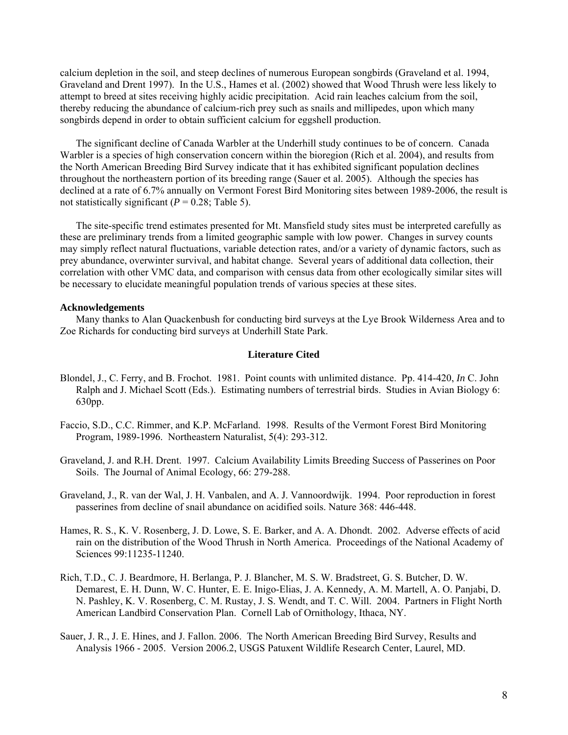calcium depletion in the soil, and steep declines of numerous European songbirds (Graveland et al. 1994, Graveland and Drent 1997). In the U.S., Hames et al. (2002) showed that Wood Thrush were less likely to attempt to breed at sites receiving highly acidic precipitation. Acid rain leaches calcium from the soil, thereby reducing the abundance of calcium-rich prey such as snails and millipedes, upon which many songbirds depend in order to obtain sufficient calcium for eggshell production.

The significant decline of Canada Warbler at the Underhill study continues to be of concern. Canada Warbler is a species of high conservation concern within the bioregion (Rich et al. 2004), and results from the North American Breeding Bird Survey indicate that it has exhibited significant population declines throughout the northeastern portion of its breeding range (Sauer et al. 2005). Although the species has declined at a rate of 6.7% annually on Vermont Forest Bird Monitoring sites between 1989-2006, the result is not statistically significant  $(P = 0.28$ ; Table 5).

The site-specific trend estimates presented for Mt. Mansfield study sites must be interpreted carefully as these are preliminary trends from a limited geographic sample with low power. Changes in survey counts may simply reflect natural fluctuations, variable detection rates, and/or a variety of dynamic factors, such as prey abundance, overwinter survival, and habitat change. Several years of additional data collection, their correlation with other VMC data, and comparison with census data from other ecologically similar sites will be necessary to elucidate meaningful population trends of various species at these sites.

## **Acknowledgements**

Many thanks to Alan Quackenbush for conducting bird surveys at the Lye Brook Wilderness Area and to Zoe Richards for conducting bird surveys at Underhill State Park.

## **Literature Cited**

- Blondel, J., C. Ferry, and B. Frochot. 1981. Point counts with unlimited distance. Pp. 414-420, *In* C. John Ralph and J. Michael Scott (Eds.). Estimating numbers of terrestrial birds. Studies in Avian Biology 6: 630pp.
- Faccio, S.D., C.C. Rimmer, and K.P. McFarland. 1998. Results of the Vermont Forest Bird Monitoring Program, 1989-1996. Northeastern Naturalist, 5(4): 293-312.
- Graveland, J. and R.H. Drent. 1997. Calcium Availability Limits Breeding Success of Passerines on Poor Soils. The Journal of Animal Ecology, 66: 279-288.
- Graveland, J., R. van der Wal, J. H. Vanbalen, and A. J. Vannoordwijk. 1994. Poor reproduction in forest passerines from decline of snail abundance on acidified soils. Nature 368: 446-448.
- Hames, R. S., K. V. Rosenberg, J. D. Lowe, S. E. Barker, and A. A. Dhondt. 2002. Adverse effects of acid rain on the distribution of the Wood Thrush in North America. Proceedings of the National Academy of Sciences 99:11235-11240.
- Rich, T.D., C. J. Beardmore, H. Berlanga, P. J. Blancher, M. S. W. Bradstreet, G. S. Butcher, D. W. Demarest, E. H. Dunn, W. C. Hunter, E. E. Inigo-Elias, J. A. Kennedy, A. M. Martell, A. O. Panjabi, D. N. Pashley, K. V. Rosenberg, C. M. Rustay, J. S. Wendt, and T. C. Will. 2004. Partners in Flight North American Landbird Conservation Plan. Cornell Lab of Ornithology, Ithaca, NY.
- Sauer, J. R., J. E. Hines, and J. Fallon. 2006. The North American Breeding Bird Survey, Results and Analysis 1966 - 2005. Version 2006.2, USGS Patuxent Wildlife Research Center, Laurel, MD.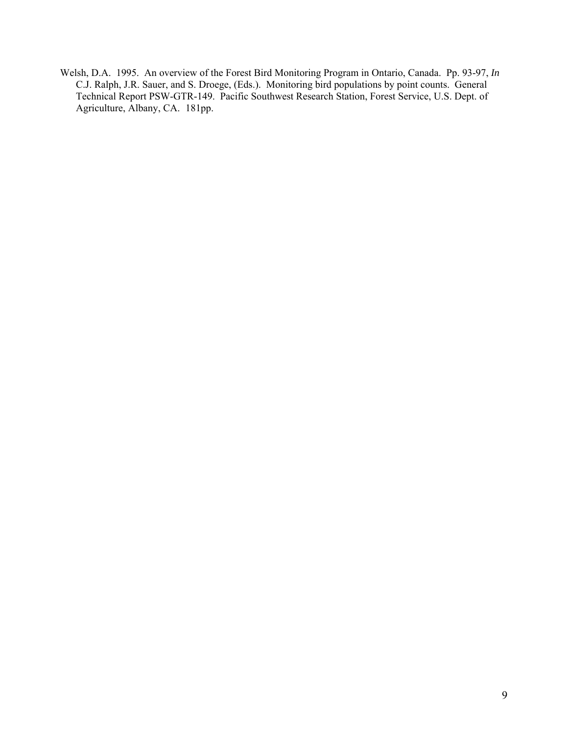Welsh, D.A. 1995. An overview of the Forest Bird Monitoring Program in Ontario, Canada. Pp. 93-97, *In* C.J. Ralph, J.R. Sauer, and S. Droege, (Eds.). Monitoring bird populations by point counts. General Technical Report PSW-GTR-149. Pacific Southwest Research Station, Forest Service, U.S. Dept. of Agriculture, Albany, CA. 181pp.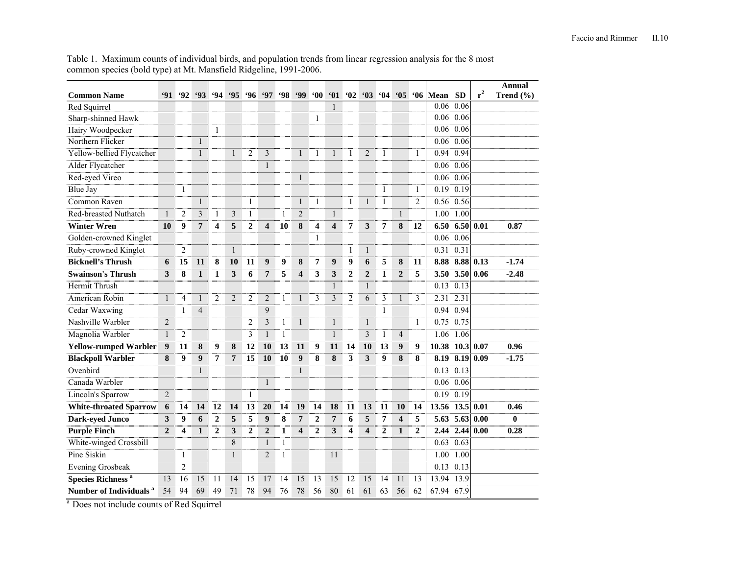Table 1. Maximum counts of individual birds, and population trends from linear regression analysis for the 8 most common species (bold type) at Mt. Mansfield Ridgeline, 1991-2006.

|                                     |                |                  |                |                  |                |                |                  |              |                         |                |                         |                         |                         |              |                         |                |             |                |       | Annual        |
|-------------------------------------|----------------|------------------|----------------|------------------|----------------|----------------|------------------|--------------|-------------------------|----------------|-------------------------|-------------------------|-------------------------|--------------|-------------------------|----------------|-------------|----------------|-------|---------------|
| <b>Common Name</b>                  | 91             | 92               | 93             | .94              | .95            | 96             | <b>'97</b>       | <b>'98</b>   | <b>99</b>               | $60^\circ$     | 61                      | $^{\circ}02$            | 63                      | 64           | $\cdot$ 05              | 66             | Mean        | <b>SD</b>      | $r^2$ | Trend $(\% )$ |
| Red Squirrel                        |                |                  |                |                  |                |                |                  |              |                         |                | $\mathbf{1}$            |                         |                         |              |                         |                | 0.06        | 0.06           |       |               |
| Sharp-shinned Hawk                  |                |                  |                |                  |                |                |                  |              |                         | 1              |                         |                         |                         |              |                         |                | 0.06        | 0.06           |       |               |
| Hairy Woodpecker                    |                |                  |                | $\mathbf{1}$     |                |                |                  |              |                         |                |                         |                         |                         |              |                         |                | 0.06        | 0.06           |       |               |
| Northern Flicker                    |                |                  | $\mathbf{1}$   |                  |                |                |                  |              |                         |                |                         |                         |                         |              |                         |                | 0.06        | 0.06           |       |               |
| Yellow-bellied Flycatcher           |                |                  | $\mathbf{1}$   |                  | $\mathbf{1}$   | $\overline{2}$ | 3                |              | $\mathbf{1}$            | $\mathbf{1}$   | $\mathbf{1}$            | 1                       | $\overline{2}$          | 1            |                         | 1              | 0.94        | 0.94           |       |               |
| Alder Flycatcher                    |                |                  |                |                  |                |                | $\mathbf{1}$     |              |                         |                |                         |                         |                         |              |                         |                | 0.06        | 0.06           |       |               |
| Red-eyed Vireo                      |                |                  |                |                  |                |                |                  |              | $\mathbf{1}$            |                |                         |                         |                         |              |                         |                | $0.06$ 0.06 |                |       |               |
| <b>Blue Jay</b>                     |                | 1                |                |                  |                |                |                  |              |                         |                |                         |                         |                         | 1            |                         | 1              | $0.19$ 0.19 |                |       |               |
| Common Raven                        |                |                  | $\mathbf{1}$   |                  |                | 1              |                  |              | 1                       | $\mathbf{1}$   |                         | $\mathbf{1}$            | 1                       | $\mathbf{1}$ |                         | $\overline{2}$ | 0.56        | 0.56           |       |               |
| <b>Red-breasted Nuthatch</b>        | $\mathbf{1}$   | $\overline{2}$   | 3              | 1                | 3              | $\mathbf{1}$   |                  | $\mathbf{1}$ | $\overline{2}$          |                | $\mathbf{1}$            |                         |                         |              | $\mathbf{1}$            |                | 1.00        | 1.00           |       |               |
| <b>Winter Wren</b>                  | 10             | 9                | $\overline{7}$ | 4                | 5              | $\overline{2}$ | $\boldsymbol{4}$ | 10           | 8                       | 4              | $\overline{\mathbf{4}}$ | 7                       | 3                       | 7            | 8                       | 12             | 6.50        | 6.50           | 0.01  | 0.87          |
| Golden-crowned Kinglet              |                |                  |                |                  |                |                |                  |              |                         | $\mathbf{1}$   |                         |                         |                         |              |                         |                | 0.06        | 0.06           |       |               |
| Ruby-crowned Kinglet                |                | $\overline{2}$   |                |                  | $\mathbf{1}$   |                |                  |              |                         |                |                         | 1                       | 1                       |              |                         |                | 0.31        | 0.31           |       |               |
| <b>Bicknell's Thrush</b>            | 6              | 15               | 11             | 8                | 10             | 11             | 9                | 9            | 8                       | 7              | 9                       | 9                       | 6                       | 5            | 8                       | 11             | 8.88        | 8.88 0.13      |       | $-1.74$       |
| <b>Swainson's Thrush</b>            | 3              | 8                | $\mathbf{1}$   | 1                | 3              | 6              | $\overline{7}$   | 5            | $\overline{\mathbf{4}}$ | 3              | 3                       | $\overline{2}$          | $\overline{2}$          | 1            | $\overline{2}$          | 5              |             | 3.50 3.50      | 0.06  | $-2.48$       |
| Hermit Thrush                       |                |                  |                |                  |                |                |                  |              |                         |                | $\mathbf{1}$            |                         | $\mathbf{1}$            |              |                         |                | 0.13        | 0.13           |       |               |
| American Robin                      | $\mathbf{1}$   | $\overline{4}$   | $\mathbf{1}$   | $\overline{c}$   | $\overline{2}$ | $\overline{2}$ | $\overline{2}$   | $\mathbf{1}$ | 1                       | 3              | $\overline{3}$          | $\overline{c}$          | 6                       | 3            | $\mathbf{1}$            | 3              | 2.31        | 2.31           |       |               |
| Cedar Waxwing                       |                | 1                | $\overline{4}$ |                  |                |                | 9                |              |                         |                |                         |                         |                         | $\mathbf{1}$ |                         |                | 0.94        | 0.94           |       |               |
| Nashville Warbler                   | $\overline{2}$ |                  |                |                  |                | $\overline{2}$ | 3                | $\mathbf{1}$ | $\mathbf{1}$            |                | $\mathbf{1}$            |                         | $\mathbf{1}$            |              |                         | $\mathbf{1}$   | 0.75        | 0.75           |       |               |
| Magnolia Warbler                    | $\mathbf{1}$   | $\overline{2}$   |                |                  |                | 3              | $\mathbf{1}$     | $\mathbf{1}$ |                         |                | $\mathbf{1}$            |                         | 3                       | $\mathbf{1}$ | $\overline{4}$          |                | 1.06        | 1.06           |       |               |
| <b>Yellow-rumped Warbler</b>        | 9              | 11               | 8              | 9                | 8              | 12             | 10               | 13           | 11                      | 9              | 11                      | 14                      | 10                      | 13           | 9                       | 9              | 10.38       | 10.3           | 0.07  | 0.96          |
| <b>Blackpoll Warbler</b>            | 8              | $\boldsymbol{9}$ | 9              | $\overline{7}$   | $\overline{7}$ | 15             | 10               | 10           | 9                       | 8              | 8                       | 3                       | 3                       | 9            | 8                       | 8              | 8.19        | 8.19           | 0.09  | $-1.75$       |
| Ovenbird                            |                |                  | $\mathbf{1}$   |                  |                |                |                  |              | $\mathbf{1}$            |                |                         |                         |                         |              |                         |                | 0.13        | 0.13           |       |               |
| Canada Warbler                      |                |                  |                |                  |                |                | $\mathbf{1}$     |              |                         |                |                         |                         |                         |              |                         |                | 0.06        | 0.06           |       |               |
| Lincoln's Sparrow                   | $\overline{2}$ |                  |                |                  |                | $\mathbf{1}$   |                  |              |                         |                |                         |                         |                         |              |                         |                | 0.19        | 0.19           |       |               |
| <b>White-throated Sparrow</b>       | 6              | 14               | 14             | 12               | 14             | 13             | 20               | 14           | 19                      | 14             | 18                      | 11                      | 13                      | 11           | 10                      | 14             | 13.56       | 13.5           | 0.01  | 0.46          |
| <b>Dark-eyed Junco</b>              | 3              | 9                | 6              | $\boldsymbol{2}$ | 5              | 5              | $\boldsymbol{9}$ | 8            | $\overline{7}$          | $\overline{2}$ | $\overline{7}$          | 6                       | 5                       | 7            | $\overline{\mathbf{4}}$ | 5              |             | 5.63 5.63 0.00 |       | 0             |
| <b>Purple Finch</b>                 | $\overline{2}$ | 4                | $\mathbf{1}$   | $\mathbf{2}$     | 3              | $\mathbf{2}$   | $\overline{2}$   | $\mathbf{1}$ | $\overline{\mathbf{4}}$ | $\mathbf{2}$   | 3                       | $\overline{\mathbf{4}}$ | $\overline{\mathbf{4}}$ | $\mathbf{2}$ | $\mathbf{1}$            | $\mathbf{2}$   | 2.44        | 2.44           | 0.00  | 0.28          |
| White-winged Crossbill              |                |                  |                |                  | 8              |                | $\mathbf{1}$     | $\mathbf{1}$ |                         |                |                         |                         |                         |              |                         |                | 0.63        | 0.63           |       |               |
| Pine Siskin                         |                | 1                |                |                  | $\mathbf{1}$   |                | $\overline{2}$   | $\mathbf{1}$ |                         |                | 11                      |                         |                         |              |                         |                | 1.00        | 1.00           |       |               |
| <b>Evening Grosbeak</b>             |                | $\overline{2}$   |                |                  |                |                |                  |              |                         |                |                         |                         |                         |              |                         |                | 0.13 0.13   |                |       |               |
| <b>Species Richness<sup>a</sup></b> | 13             | 16               | 15             | 11               | 14             | 15             | 17               | 14           | 15                      | 13             | 15                      | 12                      | 15                      | 14           | 11                      | 13             | 13.94       | 13.9           |       |               |
| Number of Individuals <sup>a</sup>  | 54             | 94               | 69             | 49               | 71             | 78             | 94               | 76           | 78                      | 56             | 80                      | 61                      | 61                      | 63           | 56                      | 62             | 67.94 67.9  |                |       |               |

<sup>a</sup> Does not include counts of Red Squirrel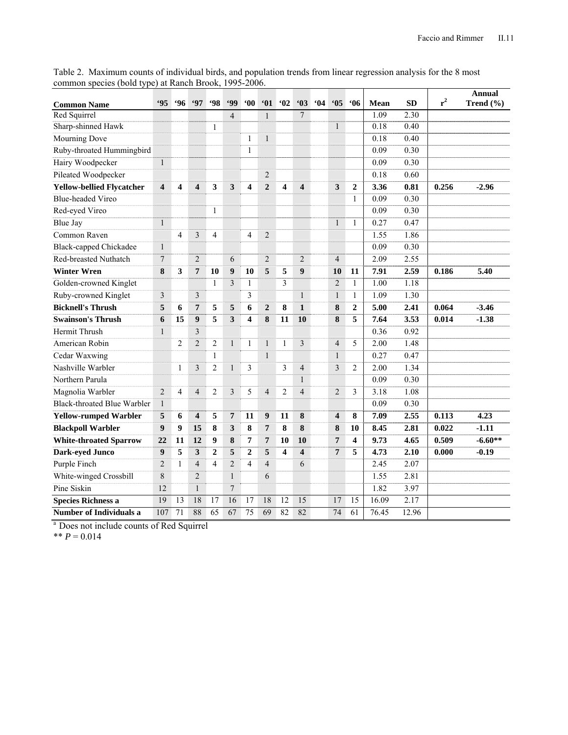| <b>Common Name</b>                 | .95                     | .96            | .97                     | 98             | <b>499</b>       | $60^\circ$              | 61             | $\cdot$ 02     | 63                      | 64 | 65             | <b>.06</b>     | Mean  | <b>SD</b> | $r^2$ | <b>Annual</b><br>Trend $(\% )$ |
|------------------------------------|-------------------------|----------------|-------------------------|----------------|------------------|-------------------------|----------------|----------------|-------------------------|----|----------------|----------------|-------|-----------|-------|--------------------------------|
| Red Squirrel                       |                         |                |                         |                | $\overline{4}$   |                         | 1              |                | 7                       |    |                |                | 1.09  | 2.30      |       |                                |
| Sharp-shinned Hawk                 |                         |                |                         | 1              |                  |                         |                |                |                         |    | $\mathbf{1}$   |                | 0.18  | 0.40      |       |                                |
| Mourning Dove                      |                         |                |                         |                |                  | 1                       | 1              |                |                         |    |                |                | 0.18  | 0.40      |       |                                |
| Ruby-throated Hummingbird          |                         |                |                         |                |                  | $\mathbf{1}$            |                |                |                         |    |                |                | 0.09  | 0.30      |       |                                |
| Hairy Woodpecker                   | $\mathbf{1}$            |                |                         |                |                  |                         |                |                |                         |    |                |                | 0.09  | 0.30      |       |                                |
| Pileated Woodpecker                |                         |                |                         |                |                  |                         | $\sqrt{2}$     |                |                         |    |                |                | 0.18  | 0.60      |       |                                |
| <b>Yellow-bellied Flycatcher</b>   | $\overline{\mathbf{4}}$ | 4              | $\overline{\mathbf{4}}$ | 3              | 3                | $\overline{\mathbf{4}}$ | $\overline{2}$ | 4              | $\overline{\mathbf{4}}$ |    | 3              | $\overline{2}$ | 3.36  | 0.81      | 0.256 | $-2.96$                        |
| <b>Blue-headed Vireo</b>           |                         |                |                         |                |                  |                         |                |                |                         |    |                | $\mathbf{1}$   | 0.09  | 0.30      |       |                                |
| Red-eyed Vireo                     |                         |                |                         | $\mathbf{1}$   |                  |                         |                |                |                         |    |                |                | 0.09  | 0.30      |       |                                |
| Blue Jay                           | $\overline{1}$          |                |                         |                |                  |                         |                |                |                         |    | $\mathbf{1}$   | $\mathbf{1}$   | 0.27  | 0.47      |       |                                |
| Common Raven                       |                         | $\overline{4}$ | 3                       | $\overline{4}$ |                  | $\overline{4}$          | $\overline{2}$ |                |                         |    |                |                | 1.55  | 1.86      |       |                                |
| <b>Black-capped Chickadee</b>      | $\mathbf{1}$            |                |                         |                |                  |                         |                |                |                         |    |                |                | 0.09  | 0.30      |       |                                |
| Red-breasted Nuthatch              | $\overline{7}$          |                | $\overline{2}$          |                | 6                |                         | $\overline{2}$ |                | $\overline{2}$          |    | $\overline{4}$ |                | 2.09  | 2.55      |       |                                |
| <b>Winter Wren</b>                 | 8                       | 3              | $\overline{7}$          | 10             | $\boldsymbol{9}$ | 10                      | 5              | 5              | 9                       |    | 10             | 11             | 7.91  | 2.59      | 0.186 | 5.40                           |
| Golden-crowned Kinglet             |                         |                |                         | $\mathbf{1}$   | 3                | $\mathbf{1}$            |                | 3              |                         |    | $\overline{2}$ | $\mathbf{1}$   | 1.00  | 1.18      |       |                                |
| Ruby-crowned Kinglet               | $\overline{\mathbf{3}}$ |                | 3                       |                |                  | 3                       |                |                | $\mathbf{1}$            |    | $\mathbf{1}$   | $\mathbf{1}$   | 1.09  | 1.30      |       |                                |
| <b>Bicknell's Thrush</b>           | 5                       | 6              | $\overline{7}$          | 5              | 5                | 6                       | $\overline{2}$ | 8              | $\mathbf{1}$            |    | 8              | $\overline{2}$ | 5.00  | 2.41      | 0.064 | $-3.46$                        |
| <b>Swainson's Thrush</b>           | 6                       | 15             | $\boldsymbol{9}$        | 5              | 3                | $\overline{\mathbf{4}}$ | 8              | 11             | 10                      |    | 8              | 5              | 7.64  | 3.53      | 0.014 | $-1.38$                        |
| Hermit Thrush                      | $\mathbf{1}$            |                | 3                       |                |                  |                         |                |                |                         |    |                |                | 0.36  | 0.92      |       |                                |
| American Robin                     |                         | 2              | $\overline{2}$          | $\overline{2}$ | $\mathbf{1}$     | $\mathbf{1}$            | $\mathbf{1}$   | 1              | $\mathfrak{Z}$          |    | $\overline{4}$ | 5              | 2.00  | 1.48      |       |                                |
| Cedar Waxwing                      |                         |                |                         | 1              |                  |                         | $\mathbf{1}$   |                |                         |    | $\mathbf{1}$   |                | 0.27  | 0.47      |       |                                |
| Nashville Warbler                  |                         | 1              | 3                       | $\overline{2}$ | $\mathbf{1}$     | 3                       |                | 3              | $\overline{4}$          |    | 3              | 2              | 2.00  | 1.34      |       |                                |
| Northern Parula                    |                         |                |                         |                |                  |                         |                |                | $\mathbf{1}$            |    |                |                | 0.09  | 0.30      |       |                                |
| Magnolia Warbler                   | $\overline{2}$          | $\overline{4}$ | $\overline{4}$          | $\overline{c}$ | 3                | 5                       | $\overline{4}$ | $\overline{2}$ | $\overline{4}$          |    | $\overline{2}$ | 3              | 3.18  | 1.08      |       |                                |
| <b>Black-throated Blue Warbler</b> | $\mathbf{1}$            |                |                         |                |                  |                         |                |                |                         |    |                |                | 0.09  | 0.30      |       |                                |
| <b>Yellow-rumped Warbler</b>       | 5                       | 6              | $\overline{\mathbf{4}}$ | 5              | 7                | 11                      | 9              | 11             | 8                       |    | 4              | 8              | 7.09  | 2.55      | 0.113 | 4.23                           |
| <b>Blackpoll Warbler</b>           | $\boldsymbol{9}$        | 9              | 15                      | 8              | 3                | 8                       | $\overline{7}$ | 8              | 8                       |    | 8              | 10             | 8.45  | 2.81      | 0.022 | -1.11                          |
| <b>White-throated Sparrow</b>      | 22                      | 11             | 12                      | 9              | 8                | 7                       | 7              | 10             | 10                      |    | 7              | 4              | 9.73  | 4.65      | 0.509 | $-6.60**$                      |
| <b>Dark-eyed Junco</b>             | 9                       | 5              | 3                       | $\overline{2}$ | 5                | $\overline{2}$          | 5              | 4              | $\overline{\mathbf{4}}$ |    | $\overline{7}$ | 5              | 4.73  | 2.10      | 0.000 | $-0.19$                        |
| Purple Finch                       | $\overline{2}$          | 1              | $\overline{4}$          | 4              | $\overline{2}$   | 4                       | $\overline{4}$ |                | 6                       |    |                |                | 2.45  | 2.07      |       |                                |
| White-winged Crossbill             | 8                       |                | 2                       |                | $\mathbf{1}$     |                         | 6              |                |                         |    |                |                | 1.55  | 2.81      |       |                                |
| Pine Siskin                        | 12                      |                | $\mathbf{1}$            |                | 7                |                         |                |                |                         |    |                |                | 1.82  | 3.97      |       |                                |
| <b>Species Richness a</b>          | 19                      | 13             | 18                      | 17             | 16               | 17                      | 18             | 12             | 15                      |    | 17             | 15             | 16.09 | 2.17      |       |                                |
| <b>Number of Individuals a</b>     | 107                     | 71             | 88                      | 65             | 67               | 75                      | 69             | 82             | 82                      |    | 74             | 61             | 76.45 | 12.96     |       |                                |

Table 2. Maximum counts of individual birds, and population trends from linear regression analysis for the 8 most common species (bold type) at Ranch Brook, 1995-2006. 

a Does not include counts of Red Squirrel

\*\*  $P = 0.014$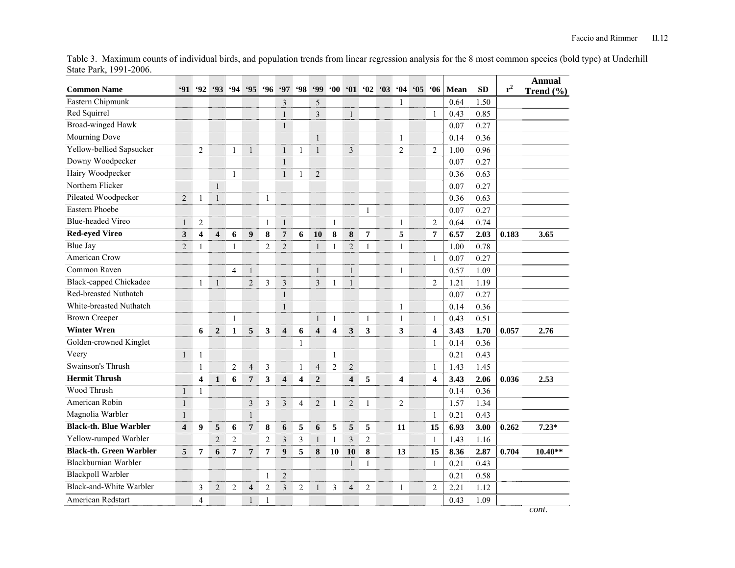Table 3. Maximum counts of individual birds, and population trends from linear regression analysis for the 8 most common species (bold type) at Underhill State Park, 1991-2006.

| <b>Common Name</b>             | 91                      | 92                      | 93                      | $\frac{6}{94}$ | 95                      | <b>96</b>      | 97                      | <b>98</b>               | <b>99</b>               | $^{\circ}00$            |                         |                |                         | $'01$ $'02$ $'03$ $'04$ $'05$ $'06$ |                         | Mean | <b>SD</b> | $r^2$ | Annual<br>Trend $(\% )$ |
|--------------------------------|-------------------------|-------------------------|-------------------------|----------------|-------------------------|----------------|-------------------------|-------------------------|-------------------------|-------------------------|-------------------------|----------------|-------------------------|-------------------------------------|-------------------------|------|-----------|-------|-------------------------|
| Eastern Chipmunk               |                         |                         |                         |                |                         |                | $\mathfrak{Z}$          |                         | 5                       |                         |                         |                | 1                       |                                     |                         | 0.64 | 1.50      |       |                         |
| Red Squirrel                   |                         |                         |                         |                |                         |                | $\mathbf{1}$            |                         | $\overline{\mathbf{3}}$ |                         | $\mathbf{1}$            |                |                         |                                     | 1                       | 0.43 | 0.85      |       |                         |
| Broad-winged Hawk              |                         |                         |                         |                |                         |                | $\mathbf{1}$            |                         |                         |                         |                         |                |                         |                                     |                         | 0.07 | 0.27      |       |                         |
| Mourning Dove                  |                         |                         |                         |                |                         |                |                         |                         | $\mathbf{1}$            |                         |                         |                | 1                       |                                     |                         | 0.14 | 0.36      |       |                         |
| Yellow-bellied Sapsucker       |                         | $\overline{2}$          |                         | $\mathbf{1}$   | $\mathbf{1}$            |                | $\mathbf{1}$            | 1                       | $\mathbf{1}$            |                         | $\overline{\mathbf{3}}$ |                | $\overline{2}$          |                                     | $\overline{2}$          | 1.00 | 0.96      |       |                         |
| Downy Woodpecker               |                         |                         |                         |                |                         |                | $\,1\,$                 |                         |                         |                         |                         |                |                         |                                     |                         | 0.07 | 0.27      |       |                         |
| Hairy Woodpecker               |                         |                         |                         | 1              |                         |                | $\mathbf{1}$            | 1                       | $\overline{2}$          |                         |                         |                |                         |                                     |                         | 0.36 | 0.63      |       |                         |
| Northern Flicker               |                         |                         | $\mathbf{1}$            |                |                         |                |                         |                         |                         |                         |                         |                |                         |                                     |                         | 0.07 | 0.27      |       |                         |
| Pileated Woodpecker            | $\overline{2}$          | 1                       | $\mathbf{1}$            |                |                         | 1              |                         |                         |                         |                         |                         |                |                         |                                     |                         | 0.36 | 0.63      |       |                         |
| Eastern Phoebe                 |                         |                         |                         |                |                         |                |                         |                         |                         |                         |                         | 1              |                         |                                     |                         | 0.07 | 0.27      |       |                         |
| <b>Blue-headed Vireo</b>       | $\mathbf{1}$            | $\overline{2}$          |                         |                |                         | 1              | $\mathbf{1}$            |                         |                         | $\mathbf{1}$            |                         |                | 1                       |                                     | $\overline{2}$          | 0.64 | 0.74      |       |                         |
| <b>Red-eyed Vireo</b>          | 3                       | $\overline{\mathbf{4}}$ | $\overline{\mathbf{4}}$ | 6              | 9                       | 8              | $\boldsymbol{7}$        | 6                       | 10                      | 8                       | 8                       | 7              | 5                       |                                     | 7                       | 6.57 | 2.03      | 0.183 | 3.65                    |
| <b>Blue Jay</b>                | $\overline{2}$          | $\mathbf{1}$            |                         | 1              |                         | $\overline{2}$ | $\overline{2}$          |                         | $\mathbf{1}$            | 1                       | $\overline{2}$          | 1              | 1                       |                                     |                         | 1.00 | 0.78      |       |                         |
| American Crow                  |                         |                         |                         |                |                         |                |                         |                         |                         |                         |                         |                |                         |                                     | -1                      | 0.07 | 0.27      |       |                         |
| Common Raven                   |                         |                         |                         | $\overline{4}$ | $\mathbf{1}$            |                |                         |                         | $\mathbf{1}$            |                         | $\mathbf{1}$            |                | 1                       |                                     |                         | 0.57 | 1.09      |       |                         |
| <b>Black-capped Chickadee</b>  |                         | 1                       | $\mathbf{1}$            |                | $\overline{2}$          | 3              | $\mathfrak{Z}$          |                         | 3                       | $\mathbf{1}$            | $\mathbf{1}$            |                |                         |                                     | $\overline{2}$          | 1.21 | 1.19      |       |                         |
| Red-breasted Nuthatch          |                         |                         |                         |                |                         |                | $\mathbf{1}$            |                         |                         |                         |                         |                |                         |                                     |                         | 0.07 | 0.27      |       |                         |
| White-breasted Nuthatch        |                         |                         |                         |                |                         |                | $\mathbf{1}$            |                         |                         |                         |                         |                | 1                       |                                     |                         | 0.14 | 0.36      |       |                         |
| <b>Brown Creeper</b>           |                         |                         |                         | 1              |                         |                |                         |                         | $\mathbf{1}$            | $\mathbf{1}$            |                         | $\mathbf{1}$   | 1                       |                                     | 1                       | 0.43 | 0.51      |       |                         |
| <b>Winter Wren</b>             |                         | 6                       | $\overline{2}$          | $\mathbf{1}$   | 5                       | 3              | $\overline{\mathbf{4}}$ | 6                       | $\overline{\mathbf{4}}$ | $\overline{\mathbf{4}}$ | $\mathbf{3}$            | 3              | 3                       |                                     | $\overline{\mathbf{4}}$ | 3.43 | 1.70      | 0.057 | 2.76                    |
| Golden-crowned Kinglet         |                         |                         |                         |                |                         |                |                         | $\mathbf{1}$            |                         |                         |                         |                |                         |                                     | $\mathbf{1}$            | 0.14 | 0.36      |       |                         |
| Veery                          | $\mathbf{1}$            | 1                       |                         |                |                         |                |                         |                         |                         | $\mathbf{1}$            |                         |                |                         |                                     |                         | 0.21 | 0.43      |       |                         |
| Swainson's Thrush              |                         | $\mathbf{1}$            |                         | $\overline{2}$ | $\overline{4}$          | $\mathfrak{Z}$ |                         | $\mathbf{1}$            | $\overline{4}$          | $\overline{2}$          | $\mathbf{2}$            |                |                         |                                     | $\mathbf{1}$            | 1.43 | 1.45      |       |                         |
| <b>Hermit Thrush</b>           |                         | $\overline{\mathbf{4}}$ | 1                       | 6              | $\overline{7}$          | 3              | $\overline{\mathbf{4}}$ | $\overline{\mathbf{4}}$ | $\overline{2}$          |                         | $\overline{\mathbf{4}}$ | 5              | $\overline{\mathbf{4}}$ |                                     | $\overline{\mathbf{4}}$ | 3.43 | 2.06      | 0.036 | 2.53                    |
| Wood Thrush                    | $\mathbf{1}$            | $\mathbf{1}$            |                         |                |                         |                |                         |                         |                         |                         |                         |                |                         |                                     |                         | 0.14 | 0.36      |       |                         |
| American Robin                 | $\mathbf{1}$            |                         |                         |                | 3                       | 3              | $\mathfrak{Z}$          | $\overline{4}$          | $\overline{c}$          | 1                       | $\mathbf{2}$            | $\mathbf{1}$   | $\overline{2}$          |                                     |                         | 1.57 | 1.34      |       |                         |
| Magnolia Warbler               | $\mathbf{1}$            |                         |                         |                | $\mathbf{1}$            |                |                         |                         |                         |                         |                         |                |                         |                                     | $\mathbf{1}$            | 0.21 | 0.43      |       |                         |
| <b>Black-th. Blue Warbler</b>  | $\overline{\mathbf{4}}$ | 9                       | 5                       | 6              | $\overline{\mathbf{7}}$ | 8              | 6                       | 5                       | 6                       | 5                       | 5                       | 5              | 11                      |                                     | 15                      | 6.93 | 3.00      | 0.262 | $7.23*$                 |
| Yellow-rumped Warbler          |                         |                         | $\overline{2}$          | $\overline{2}$ |                         | $\overline{2}$ | 3                       | 3                       | $\mathbf{1}$            | 1                       | 3                       | $\overline{2}$ |                         |                                     | 1                       | 1.43 | 1.16      |       |                         |
| <b>Black-th. Green Warbler</b> | 5                       | 7                       | 6                       | 7              | $\overline{7}$          | $\overline{7}$ | $\boldsymbol{9}$        | 5                       | 8                       | 10                      | 10                      | 8              | 13                      |                                     | 15                      | 8.36 | 2.87      | 0.704 | $10.40**$               |
| Blackburnian Warbler           |                         |                         |                         |                |                         |                |                         |                         |                         |                         | $\mathbf{1}$            | $\mathbf{1}$   |                         |                                     | $\mathbf{1}$            | 0.21 | 0.43      |       |                         |
| <b>Blackpoll Warbler</b>       |                         |                         |                         |                |                         | 1              | $\overline{2}$          |                         |                         |                         |                         |                |                         |                                     |                         | 0.21 | 0.58      |       |                         |
| Black-and-White Warbler        |                         | 3                       | $\overline{2}$          | $\overline{2}$ | $\overline{4}$          | $\overline{c}$ | $\mathfrak{Z}$          | $\overline{2}$          | $\mathbf{1}$            | 3                       | $\overline{4}$          | $\overline{2}$ | $\mathbf{1}$            |                                     | $\overline{2}$          | 2.21 | 1.12      |       |                         |
| American Redstart              |                         | 4                       |                         |                | $\mathbf{1}$            | 1              |                         |                         |                         |                         |                         |                |                         |                                     |                         | 0.43 | 1.09      |       |                         |

*cont.*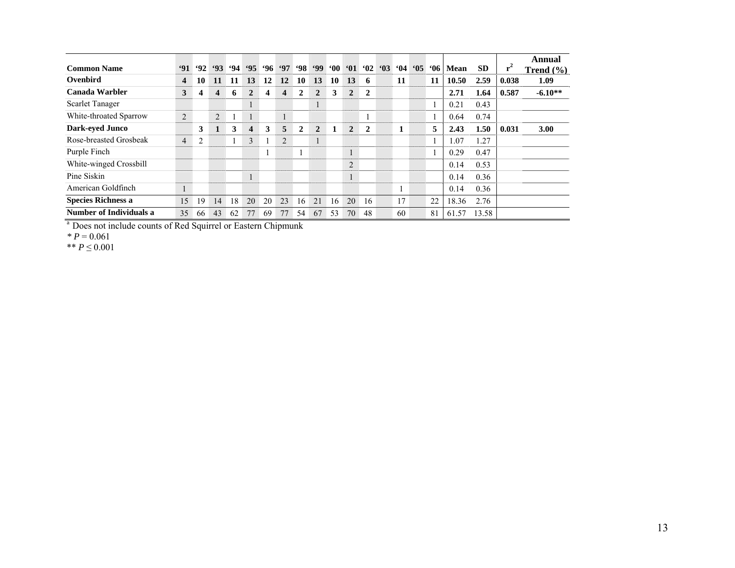| <b>Common Name</b>             | 91               | 92                      | 93 | .94 | $95^\circ$   | 96 | .97                     | <b>98</b>      | .99            | $60^\circ$ | 61                       | 62             | 63 | 64 | $^{\circ}05$ | <b>06</b> | Mean  | <b>SD</b> | ${\bf r}^2$ | Annual<br>Trend $(\% )$ |
|--------------------------------|------------------|-------------------------|----|-----|--------------|----|-------------------------|----------------|----------------|------------|--------------------------|----------------|----|----|--------------|-----------|-------|-----------|-------------|-------------------------|
| Ovenbird                       | $\boldsymbol{4}$ | 10                      | 11 | 11  | 13           | 12 | 12                      | 10             | 13             | 10         | 13                       | 6              |    | 11 |              | 11        | 10.50 | 2.59      | 0.038       | 1.09                    |
| Canada Warbler                 | 3                | $\overline{\mathbf{4}}$ | 4  | 6   | $\mathbf{2}$ | 4  | $\overline{\mathbf{4}}$ | $\overline{2}$ | $\overline{2}$ | 3          | $\overline{2}$           | $\overline{2}$ |    |    |              |           | 2.71  | 1.64      | 0.587       | $-6.10**$               |
| <b>Scarlet Tanager</b>         |                  |                         |    |     |              |    |                         |                |                |            |                          |                |    |    |              |           | 0.21  | 0.43      |             |                         |
| White-throated Sparrow         | $\overline{2}$   |                         | 2  |     |              |    | $\mathbf{1}$            |                |                |            |                          |                |    |    |              |           | 0.64  | 0.74      |             |                         |
| <b>Dark-eyed Junco</b>         |                  | 3                       | 1  | 3   | 4            | 3  | 5                       | $\mathbf{2}$   | $\mathbf{2}$   |            | $\overline{2}$           | 2              |    | 1  |              | 5         | 2.43  | 1.50      | 0.031       | 3.00                    |
| Rose-breasted Grosbeak         | $\overline{4}$   | 2                       |    |     | 3            |    | 2                       |                |                |            |                          |                |    |    |              |           | 1.07  | 1.27      |             |                         |
| Purple Finch                   |                  |                         |    |     |              |    |                         |                |                |            | $\mathbf{1}$<br>$\bf{1}$ |                |    |    |              |           | 0.29  | 0.47      |             |                         |
| White-winged Crossbill         |                  |                         |    |     |              |    |                         |                |                |            | $\overline{2}$           |                |    |    |              |           | 0.14  | 0.53      |             |                         |
| Pine Siskin                    |                  |                         |    |     |              |    |                         |                |                |            | $\mathbf{1}$             |                |    |    |              |           | 0.14  | 0.36      |             |                         |
| American Goldfinch             |                  |                         |    |     |              |    |                         |                |                |            |                          |                |    |    |              |           | 0.14  | 0.36      |             |                         |
| <b>Species Richness a</b>      | 15               | 19                      | 14 | 18  | 20           | 20 | 23                      | 16.            | 21             | 16         | 20                       | 16             |    | 17 |              | 22        | 18.36 | 2.76      |             |                         |
| <b>Number of Individuals a</b> | 35               | 66                      | 43 | 62  | 77           | 69 | 77                      | 54             | 67             | 53         | 70                       | 48             |    | 60 |              | 81        | 61.57 | 13.58     |             |                         |

<sup>a</sup> Does not include counts of Red Squirrel or Eastern Chipmunk

*\* P* = 0.061

\*\* *P* ≤ 0.001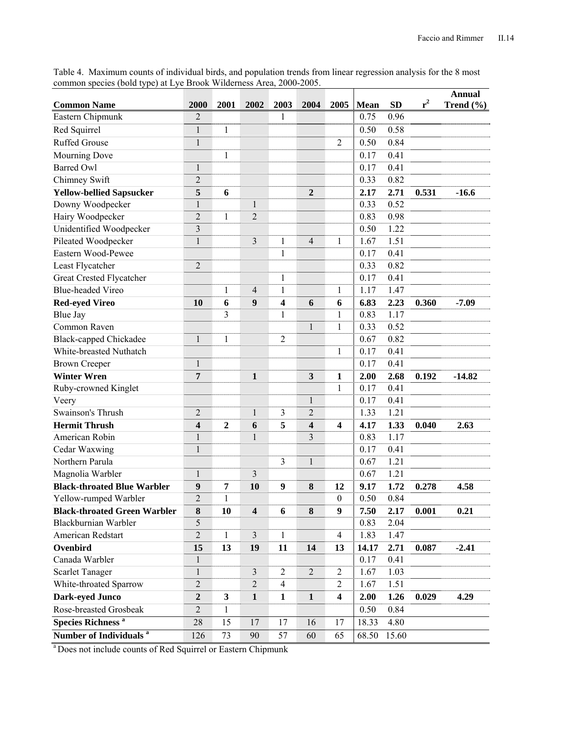Table 4. Maximum counts of individual birds, and population trends from linear regression analysis for the 8 most common species (bold type) at Lye Brook Wilderness Area, 2000-2005.

|                                     |                         |                  |                         |                |                         |                         |       |           |       | <b>Annual</b> |
|-------------------------------------|-------------------------|------------------|-------------------------|----------------|-------------------------|-------------------------|-------|-----------|-------|---------------|
| <b>Common Name</b>                  | 2000                    | 2001             | 2002                    | 2003           | 2004                    | 2005                    | Mean  | <b>SD</b> | $r^2$ | Trend $(\% )$ |
| Eastern Chipmunk                    | $\overline{2}$          |                  |                         | 1              |                         |                         | 0.75  | 0.96      |       |               |
| Red Squirrel                        | $\mathbf 1$             | 1                |                         |                |                         |                         | 0.50  | 0.58      |       |               |
| <b>Ruffed Grouse</b>                | $\mathbf{1}$            |                  |                         |                |                         | $\overline{2}$          | 0.50  | 0.84      |       |               |
| Mourning Dove                       |                         | $\mathbf{1}$     |                         |                |                         |                         | 0.17  | 0.41      |       |               |
| <b>Barred Owl</b>                   | $\mathbf{1}$            |                  |                         |                |                         |                         | 0.17  | 0.41      |       |               |
| Chimney Swift                       | $\overline{c}$          |                  |                         |                |                         |                         | 0.33  | 0.82      |       |               |
| <b>Yellow-bellied Sapsucker</b>     | 5                       | 6                |                         |                | $\overline{2}$          |                         | 2.17  | 2.71      | 0.531 | $-16.6$       |
| Downy Woodpecker                    | $\mathbf{1}$            |                  | $\mathbf{1}$            |                |                         |                         | 0.33  | 0.52      |       |               |
| Hairy Woodpecker                    | $\overline{2}$          | $\mathbf{1}$     | $\overline{2}$          |                |                         |                         | 0.83  | 0.98      |       |               |
| Unidentified Woodpecker             | $\overline{\mathbf{3}}$ |                  |                         |                |                         |                         | 0.50  | 1.22      |       |               |
| Pileated Woodpecker                 | $\mathbf 1$             |                  | $\overline{3}$          | 1              | $\overline{4}$          | 1                       | 1.67  | 1.51      |       |               |
| Eastern Wood-Pewee                  |                         |                  |                         | 1              |                         |                         | 0.17  | 0.41      |       |               |
| Least Flycatcher                    | $\overline{c}$          |                  |                         |                |                         |                         | 0.33  | 0.82      |       |               |
| Great Crested Flycatcher            |                         |                  |                         | $\mathbf{1}$   |                         |                         | 0.17  | 0.41      |       |               |
| <b>Blue-headed Vireo</b>            |                         | 1                | $\overline{4}$          | $\mathbf{1}$   |                         | 1                       | 1.17  | 1.47      |       |               |
| <b>Red-eyed Vireo</b>               | <b>10</b>               | 6                | $\boldsymbol{9}$        | 4              | 6                       | 6                       | 6.83  | 2.23      | 0.360 | $-7.09$       |
| <b>Blue Jay</b>                     |                         | $\overline{3}$   |                         | 1              |                         | 1                       | 0.83  | 1.17      |       |               |
| Common Raven                        |                         |                  |                         |                | $\mathbf{1}$            | $\mathbf{1}$            | 0.33  | 0.52      |       |               |
| <b>Black-capped Chickadee</b>       | $\mathbf{1}$            | $\mathbf{1}$     |                         | $\overline{2}$ |                         |                         | 0.67  | 0.82      |       |               |
| White-breasted Nuthatch             |                         |                  |                         |                |                         | 1                       | 0.17  | 0.41      |       |               |
| <b>Brown Creeper</b>                | $\mathbf 1$             |                  |                         |                |                         |                         | 0.17  | 0.41      |       |               |
| <b>Winter Wren</b>                  | 7                       |                  | $\mathbf{1}$            |                | 3                       | $\mathbf{1}$            | 2.00  | 2.68      | 0.192 | $-14.82$      |
| Ruby-crowned Kinglet                |                         |                  |                         |                |                         | $\mathbf{1}$            | 0.17  | 0.41      |       |               |
| Veery                               |                         |                  |                         |                | $\mathbf{1}$            |                         | 0.17  | 0.41      |       |               |
| Swainson's Thrush                   | $\overline{2}$          |                  | $\mathbf{1}$            | 3              | $\overline{c}$          |                         | 1.33  | 1.21      |       |               |
| <b>Hermit Thrush</b>                | 4                       | $\boldsymbol{2}$ | 6                       | 5              | $\overline{\mathbf{4}}$ | $\overline{\mathbf{4}}$ | 4.17  | 1.33      | 0.040 | 2.63          |
| American Robin                      | $\mathbf{1}$            |                  | $\mathbf{1}$            |                | 3                       |                         | 0.83  | 1.17      |       |               |
| Cedar Waxwing                       | $\mathbf{1}$            |                  |                         |                |                         |                         | 0.17  | 0.41      |       |               |
| Northern Parula                     |                         |                  |                         | 3              | $\mathbf{1}$            |                         | 0.67  | 1.21      |       |               |
| Magnolia Warbler                    | $\mathbf{1}$            |                  | 3                       |                |                         |                         | 0.67  | 1.21      |       |               |
| <b>Black-throated Blue Warbler</b>  | 9                       | 7                | 10                      | 9              | 8                       | 12                      | 9.17  | 1.72      | 0.278 | 4.58          |
| Yellow-rumped Warbler               | $\overline{2}$          | $\mathbf{1}$     |                         |                |                         | $\boldsymbol{0}$        | 0.50  | 0.84      |       |               |
| <b>Black-throated Green Warbler</b> | 8                       | 10               | $\overline{\mathbf{4}}$ | 6              | 8                       | 9                       | 7.50  | 2.17      | 0.001 | 0.21          |
| <b>Blackburnian Warbler</b>         | 5                       |                  |                         |                |                         |                         | 0.83  | 2.04      |       |               |
| American Redstart                   | $\overline{2}$          | $\mathbf{1}$     | $\overline{3}$          | $\mathbf{1}$   |                         | $\overline{4}$          | 1.83  | 1.47      |       |               |
| Ovenbird                            | 15                      | 13               | 19                      | 11             | 14                      | 13                      | 14.17 | 2.71      | 0.087 | $-2.41$       |
| Canada Warbler                      | $\mathbf{1}$            |                  |                         |                |                         |                         | 0.17  | 0.41      |       |               |
| <b>Scarlet Tanager</b>              | $\mathbf{1}$            |                  | $\mathfrak{Z}$          | 2              | $\overline{2}$          | $\overline{2}$          | 1.67  | 1.03      |       |               |
| White-throated Sparrow              | $\overline{2}$          |                  | $\overline{2}$          | $\overline{4}$ |                         | $\overline{2}$          | 1.67  | 1.51      |       |               |
| Dark-eyed Junco                     | $\boldsymbol{2}$        | $\mathbf{3}$     | $\mathbf{1}$            | $\mathbf{1}$   | $\mathbf{1}$            | $\overline{\mathbf{4}}$ | 2.00  | 1.26      | 0.029 | 4.29          |
| Rose-breasted Grosbeak              | $\mathbf{2}$            | 1                |                         |                |                         |                         | 0.50  | 0.84      |       |               |
| <b>Species Richness<sup>a</sup></b> | 28                      | 15               | 17                      | 17             | 16                      | 17                      | 18.33 | 4.80      |       |               |
| Number of Individuals <sup>a</sup>  | 126                     | 73               | 90                      | 57             | 60                      | 65                      | 68.50 | 15.60     |       |               |
|                                     |                         |                  |                         |                |                         |                         |       |           |       |               |

a Does not include counts of Red Squirrel or Eastern Chipmunk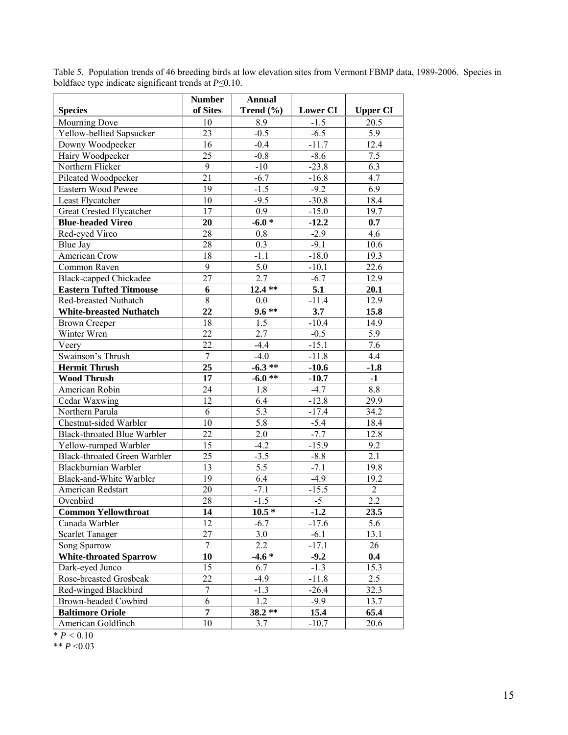| <b>Species</b>                      | <b>Number</b><br>of Sites | <b>Annual</b><br>Trend (%) | <b>Lower CI</b> | <b>Upper CI</b> |
|-------------------------------------|---------------------------|----------------------------|-----------------|-----------------|
| Mourning Dove                       | 10                        | 8.9                        | $-1.5$          | 20.5            |
| Yellow-bellied Sapsucker            | 23                        | $-0.5$                     | $-6.5$          | 5.9             |
| Downy Woodpecker                    | 16                        | $-0.4$                     | $-11.7$         | 12.4            |
| Hairy Woodpecker                    | 25                        | $-0.8$                     | $-8.6$          | 7.5             |
| Northern Flicker                    | $\overline{9}$            | $-10$                      | $-23.8$         | 6.3             |
| Pileated Woodpecker                 | 21                        | $-6.7$                     | $-16.8$         | 4.7             |
| Eastern Wood Pewee                  | 19                        | $-1.5$                     | $-9.2$          | 6.9             |
| Least Flycatcher                    | 10                        | $-9.5$                     | $-30.8$         | 18.4            |
| Great Crested Flycatcher            | 17                        | 0.9                        | $-15.0$         | 19.7            |
| <b>Blue-headed Vireo</b>            | 20                        | $-6.0*$                    | $-12.2$         | 0.7             |
| Red-eyed Vireo                      | 28                        | 0.8                        | $-2.9$          | 4.6             |
| Blue Jay                            | 28                        | 0.3                        | $-9.1$          | 10.6            |
| American Crow                       | 18                        | $-1.1$                     | $-18.0$         | 19.3            |
| Common Raven                        | 9                         | 5.0                        | $-10.1$         | 22.6            |
| <b>Black-capped Chickadee</b>       | 27                        | 2.7                        | $-6.7$          | 12.9            |
| <b>Eastern Tufted Titmouse</b>      | 6                         | $12.4**$                   | 5.1             | 20.1            |
| Red-breasted Nuthatch               | $\overline{8}$            | 0.0                        | $-11.4$         | 12.9            |
| <b>White-breasted Nuthatch</b>      | 22                        | $9.6**$                    | 3.7             | 15.8            |
| <b>Brown Creeper</b>                | 18                        | 1.5                        | $-10.4$         | 14.9            |
| Winter Wren                         | 22                        | 2.7                        | $-0.5$          | 5.9             |
| Veery                               | 22                        | $-4.4$                     | $-15.1$         | 7.6             |
| Swainson's Thrush                   | $\overline{7}$            | $-4.0$                     | $-11.8$         | 4.4             |
| <b>Hermit Thrush</b>                | 25                        | $-6.3**$                   | $-10.6$         | $-1.8$          |
| <b>Wood Thrush</b>                  | 17                        | $-6.0**$                   | $-10.7$         | $-1$            |
| American Robin                      | 24                        | 1.8                        | $-4.7$          | 8.8             |
| Cedar Waxwing                       | 12                        | 6.4                        | $-12.8$         | 29.9            |
| Northern Parula                     | 6                         | 5.3                        | $-17.4$         | 34.2            |
| Chestnut-sided Warbler              | 10                        | 5.8                        | $-5.4$          | 18.4            |
| <b>Black-throated Blue Warbler</b>  | 22                        | 2.0                        | $-7.7$          | 12.8            |
| Yellow-rumped Warbler               | 15                        | $-4.2$                     | $-15.9$         | 9.2             |
| <b>Black-throated Green Warbler</b> | 25                        | $-3.5$                     | $-8.8$          | 2.1             |
| Blackburnian Warbler                | 13                        | 5.5                        | $-7.1$          | 19.8            |
| Black-and-White Warbler             | 19                        | 6.4                        | $-4.9$          | 19.2            |
| American Redstart                   | 20                        | $-7.1$                     | $-15.5$         | $\overline{2}$  |
| Ovenbird                            | 28                        | $-1.5$                     | $-5$            | 2.2             |
| <b>Common Yellowthroat</b>          | 14                        | $10.5*$                    | $-1.2$          | 23.5            |
| Canada Warbler                      | 12                        | $-6.7$                     | $-17.6$         | 5.6             |
| <b>Scarlet Tanager</b>              | 27                        | 3.0                        | $-6.1$          | 13.1            |
| Song Sparrow                        | $\overline{7}$            | $2.\overline{2}$           | $-17.1$         | 26              |
| <b>White-throated Sparrow</b>       | 10                        | $-4.6*$                    | $-9.2$          | 0.4             |
| Dark-eyed Junco                     | 15                        | 6.7                        | $-1.3$          | 15.3            |
| Rose-breasted Grosbeak              | 22                        | $-4.9$                     | $-11.8$         | 2.5             |
| Red-winged Blackbird                | $\boldsymbol{7}$          | $-1.3$                     | $-26.4$         | 32.3            |
| Brown-headed Cowbird                | 6                         | $1.\overline{2}$           | $-9.9$          | 13.7            |
| <b>Baltimore Oriole</b>             | $\overline{7}$            | $38.2**$                   | 15.4            | 65.4            |
| American Goldfinch                  | 10                        | 3.7                        | $-10.7$         | 20.6            |

Table 5. Population trends of 46 breeding birds at low elevation sites from Vermont FBMP data, 1989-2006. Species in boldface type indicate significant trends at *P*≤0.10.

 $\sqrt{\frac{P}{P}} < 0.10$ 

\*\* *P* <0.03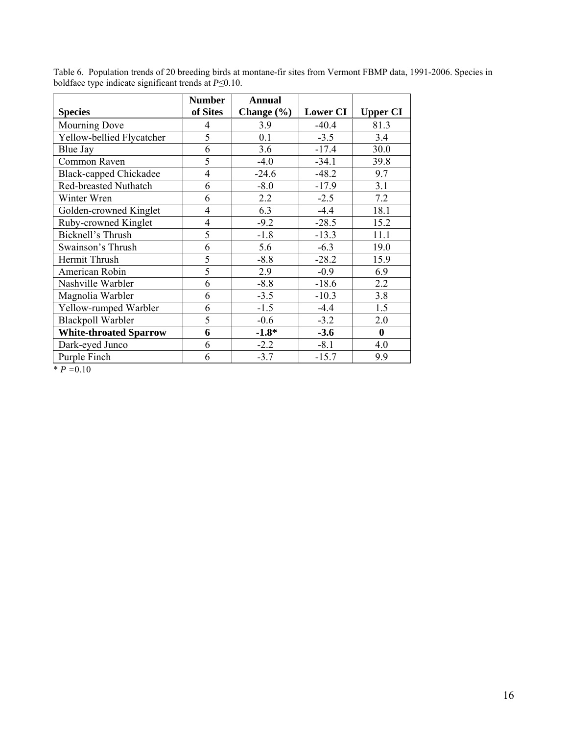|                               | <b>Number</b>  | <b>Annual</b>  |                 |                  |
|-------------------------------|----------------|----------------|-----------------|------------------|
| <b>Species</b>                | of Sites       | Change $(\% )$ | <b>Lower CI</b> | <b>Upper CI</b>  |
| <b>Mourning Dove</b>          | 4              | 3.9            | $-40.4$         | 81.3             |
| Yellow-bellied Flycatcher     | 5              | 0.1            | $-3.5$          | 3.4              |
| Blue Jay                      | 6              | 3.6            | $-17.4$         | 30.0             |
| Common Raven                  | $\overline{5}$ | $-4.0$         | $-34.1$         | 39.8             |
| <b>Black-capped Chickadee</b> | $\overline{4}$ | $-24.6$        | $-48.2$         | 9.7              |
| Red-breasted Nuthatch         | 6              | $-8.0$         | $-17.9$         | 3.1              |
| Winter Wren                   | 6              | 2.2            | $-2.5$          | 7.2              |
| Golden-crowned Kinglet        | $\overline{4}$ | 6.3            | $-4.4$          | 18.1             |
| Ruby-crowned Kinglet          | $\overline{4}$ | $-9.2$         | $-28.5$         | 15.2             |
| Bicknell's Thrush             | 5              | $-1.8$         | $-13.3$         | 11.1             |
| Swainson's Thrush             | 6              | 5.6            | $-6.3$          | 19.0             |
| Hermit Thrush                 | 5              | $-8.8$         | $-28.2$         | 15.9             |
| American Robin                | 5              | 2.9            | $-0.9$          | 6.9              |
| Nashville Warbler             | 6              | $-8.8$         | $-18.6$         | 2.2              |
| Magnolia Warbler              | 6              | $-3.5$         | $-10.3$         | 3.8              |
| Yellow-rumped Warbler         | 6              | $-1.5$         | $-4.4$          | 1.5              |
| <b>Blackpoll Warbler</b>      | 5              | $-0.6$         | $-3.2$          | 2.0              |
| <b>White-throated Sparrow</b> | 6              | $-1.8*$        | $-3.6$          | $\boldsymbol{0}$ |
| Dark-eyed Junco               | 6              | $-2.2$         | $-8.1$          | 4.0              |
| Purple Finch                  | 6              | $-3.7$         | $-15.7$         | 9.9              |

Table 6. Population trends of 20 breeding birds at montane-fir sites from Vermont FBMP data, 1991-2006. Species in boldface type indicate significant trends at *P*≤0.10.

\* *P =*0.10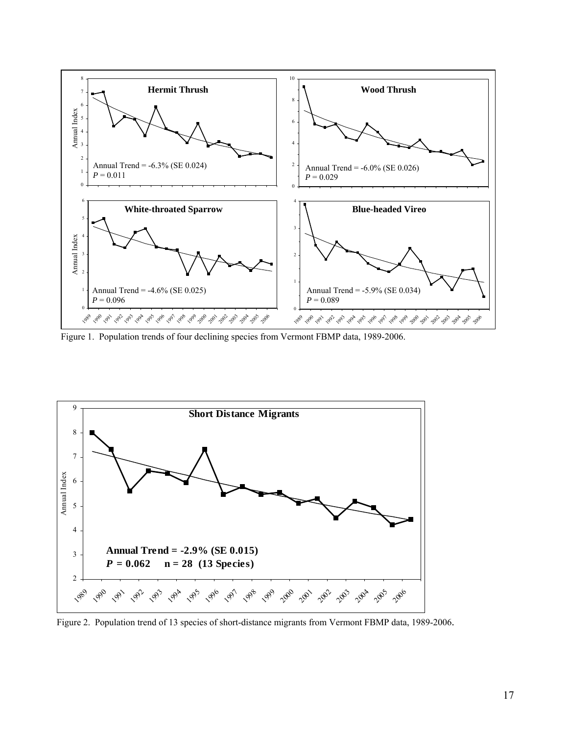

Figure 1. Population trends of four declining species from Vermont FBMP data, 1989-2006.



Figure 2. Population trend of 13 species of short-distance migrants from Vermont FBMP data, 1989-2006.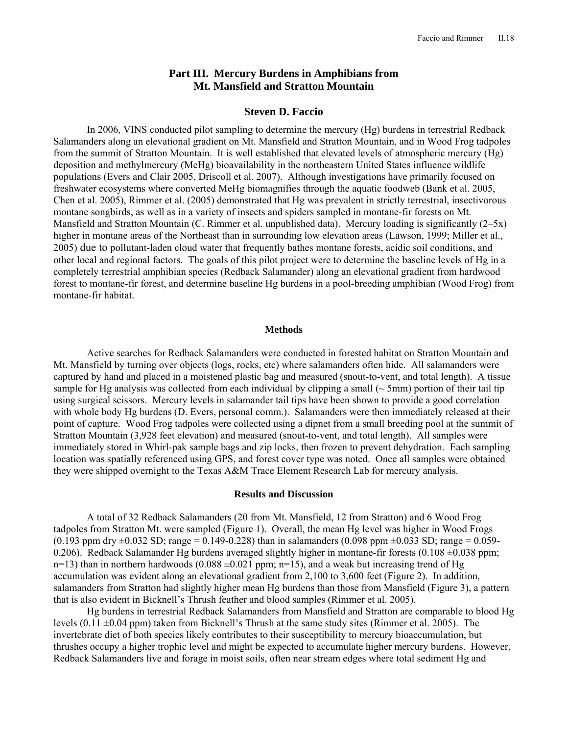# **Part III. Mercury Burdens in Amphibians from Mt. Mansfield and Stratton Mountain**

## **Steven D. Faccio**

In 2006, VINS conducted pilot sampling to determine the mercury (Hg) burdens in terrestrial Redback Salamanders along an elevational gradient on Mt. Mansfield and Stratton Mountain, and in Wood Frog tadpoles from the summit of Stratton Mountain. It is well established that elevated levels of atmospheric mercury (Hg) deposition and methylmercury (MeHg) bioavailability in the northeastern United States influence wildlife populations (Evers and Clair 2005, Driscoll et al. 2007). Although investigations have primarily focused on freshwater ecosystems where converted MeHg biomagnifies through the aquatic foodweb (Bank et al. 2005, Chen et al. 2005), Rimmer et al. (2005) demonstrated that Hg was prevalent in strictly terrestrial, insectivorous montane songbirds, as well as in a variety of insects and spiders sampled in montane-fir forests on Mt. Mansfield and Stratton Mountain (C. Rimmer et al. unpublished data). Mercury loading is significantly (2–5x) higher in montane areas of the Northeast than in surrounding low elevation areas (Lawson, 1999; Miller et al., 2005) due to pollutant-laden cloud water that frequently bathes montane forests, acidic soil conditions, and other local and regional factors. The goals of this pilot project were to determine the baseline levels of Hg in a completely terrestrial amphibian species (Redback Salamander) along an elevational gradient from hardwood forest to montane-fir forest, and determine baseline Hg burdens in a pool-breeding amphibian (Wood Frog) from montane-fir habitat.

#### **Methods**

 Active searches for Redback Salamanders were conducted in forested habitat on Stratton Mountain and Mt. Mansfield by turning over objects (logs, rocks, etc) where salamanders often hide. All salamanders were captured by hand and placed in a moistened plastic bag and measured (snout-to-vent, and total length). A tissue sample for Hg analysis was collected from each individual by clipping a small ( $\sim$  5mm) portion of their tail tip using surgical scissors. Mercury levels in salamander tail tips have been shown to provide a good correlation with whole body Hg burdens (D. Evers, personal comm.). Salamanders were then immediately released at their point of capture. Wood Frog tadpoles were collected using a dipnet from a small breeding pool at the summit of Stratton Mountain (3,928 feet elevation) and measured (snout-to-vent, and total length). All samples were immediately stored in Whirl-pak sample bags and zip locks, then frozen to prevent dehydration. Each sampling location was spatially referenced using GPS, and forest cover type was noted. Once all samples were obtained they were shipped overnight to the Texas A&M Trace Element Research Lab for mercury analysis.

#### **Results and Discussion**

 A total of 32 Redback Salamanders (20 from Mt. Mansfield, 12 from Stratton) and 6 Wood Frog tadpoles from Stratton Mt. were sampled (Figure 1). Overall, the mean Hg level was higher in Wood Frogs  $(0.193$  ppm dry  $\pm 0.032$  SD; range = 0.149-0.228) than in salamanders (0.098 ppm  $\pm 0.033$  SD; range = 0.059-0.206). Redback Salamander Hg burdens averaged slightly higher in montane-fir forests (0.108  $\pm$ 0.038 ppm;  $n=13$ ) than in northern hardwoods (0.088  $\pm$ 0.021 ppm; n=15), and a weak but increasing trend of Hg accumulation was evident along an elevational gradient from 2,100 to 3,600 feet (Figure 2). In addition, salamanders from Stratton had slightly higher mean Hg burdens than those from Mansfield (Figure 3), a pattern that is also evident in Bicknell's Thrush feather and blood samples (Rimmer et al. 2005).

 Hg burdens in terrestrial Redback Salamanders from Mansfield and Stratton are comparable to blood Hg levels (0.11 ±0.04 ppm) taken from Bicknell's Thrush at the same study sites (Rimmer et al. 2005). The invertebrate diet of both species likely contributes to their susceptibility to mercury bioaccumulation, but thrushes occupy a higher trophic level and might be expected to accumulate higher mercury burdens. However, Redback Salamanders live and forage in moist soils, often near stream edges where total sediment Hg and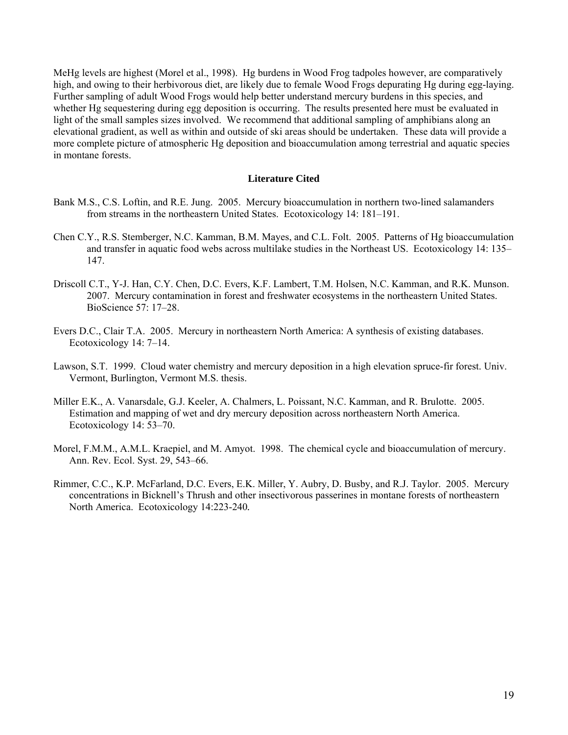MeHg levels are highest (Morel et al., 1998). Hg burdens in Wood Frog tadpoles however, are comparatively high, and owing to their herbivorous diet, are likely due to female Wood Frogs depurating Hg during egg-laying. Further sampling of adult Wood Frogs would help better understand mercury burdens in this species, and whether Hg sequestering during egg deposition is occurring. The results presented here must be evaluated in light of the small samples sizes involved. We recommend that additional sampling of amphibians along an elevational gradient, as well as within and outside of ski areas should be undertaken. These data will provide a more complete picture of atmospheric Hg deposition and bioaccumulation among terrestrial and aquatic species in montane forests.

## **Literature Cited**

- Bank M.S., C.S. Loftin, and R.E. Jung. 2005. Mercury bioaccumulation in northern two-lined salamanders from streams in the northeastern United States. Ecotoxicology 14: 181–191.
- Chen C.Y., R.S. Stemberger, N.C. Kamman, B.M. Mayes, and C.L. Folt. 2005. Patterns of Hg bioaccumulation and transfer in aquatic food webs across multilake studies in the Northeast US. Ecotoxicology 14: 135– 147.
- Driscoll C.T., Y-J. Han, C.Y. Chen, D.C. Evers, K.F. Lambert, T.M. Holsen, N.C. Kamman, and R.K. Munson. 2007. Mercury contamination in forest and freshwater ecosystems in the northeastern United States. BioScience 57: 17–28.
- Evers D.C., Clair T.A. 2005. Mercury in northeastern North America: A synthesis of existing databases. Ecotoxicology 14: 7–14.
- Lawson, S.T. 1999. Cloud water chemistry and mercury deposition in a high elevation spruce-fir forest. Univ. Vermont, Burlington, Vermont M.S. thesis.
- Miller E.K., A. Vanarsdale, G.J. Keeler, A. Chalmers, L. Poissant, N.C. Kamman, and R. Brulotte. 2005. Estimation and mapping of wet and dry mercury deposition across northeastern North America. Ecotoxicology 14: 53–70.
- Morel, F.M.M., A.M.L. Kraepiel, and M. Amyot. 1998. The chemical cycle and bioaccumulation of mercury. Ann. Rev. Ecol. Syst. 29, 543–66.
- Rimmer, C.C., K.P. McFarland, D.C. Evers, E.K. Miller, Y. Aubry, D. Busby, and R.J. Taylor. 2005. Mercury concentrations in Bicknell's Thrush and other insectivorous passerines in montane forests of northeastern North America. Ecotoxicology 14:223-240*.*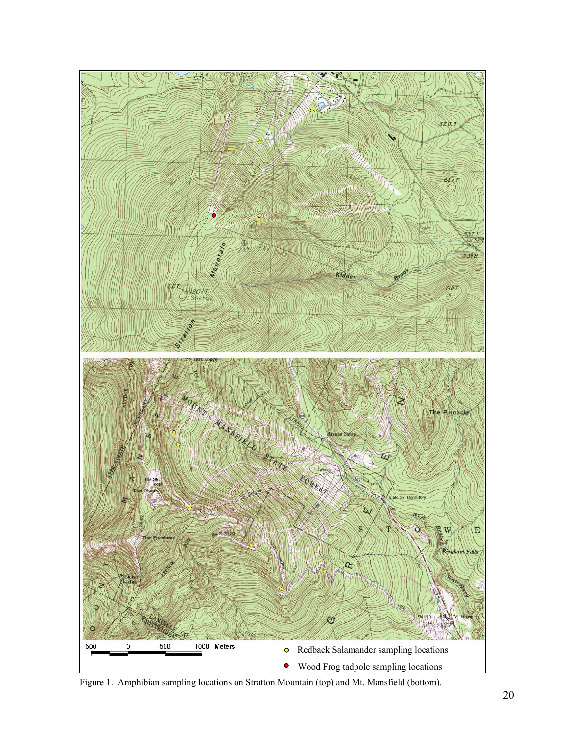

Figure 1. Amphibian sampling locations on Stratton Mountain (top) and Mt. Mansfield (bottom).